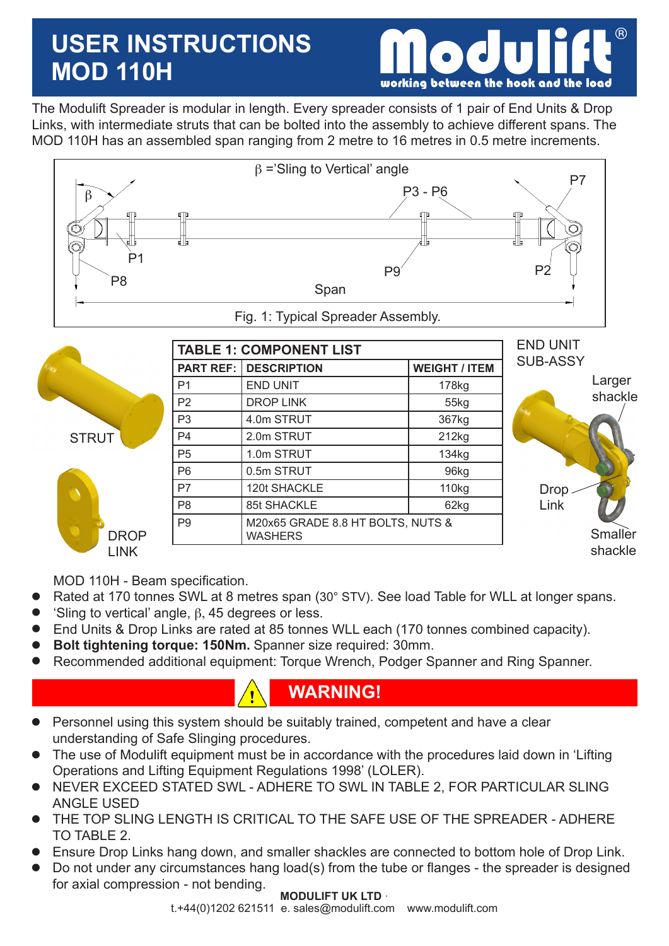# **USER INSTRUCTIONS MOD 110H**



The Modulift Spreader is modular in length. Every spreader consists of 1 pair of End Units & Drop Links, with intermediate struts that can be bolted into the assembly to achieve different spans. The MOD 110H has an assembled span ranging from 2 metre to 16 metres in 0.5 metre increments.



|              |                  | <b>TABLE 1: COMPONENT LIST</b>                      | <b>END UNIT</b>      |                 |
|--------------|------------------|-----------------------------------------------------|----------------------|-----------------|
|              | <b>PART REF:</b> | <b>DESCRIPTION</b>                                  | <b>WEIGHT / ITEM</b> | <b>SUB-ASSY</b> |
|              | P <sub>1</sub>   | <b>END UNIT</b>                                     | 178kg                | Larger          |
|              | P <sub>2</sub>   | <b>DROP LINK</b>                                    | 55kg                 | shackle         |
|              | P <sub>3</sub>   | 4.0m STRUT                                          | 367kg                |                 |
| <b>STRUT</b> | P <sub>4</sub>   | 2.0m STRUT                                          | 212kg                |                 |
|              | P <sub>5</sub>   | 1.0m STRUT                                          | 134kg                |                 |
|              | P <sub>6</sub>   | 0.5m STRUT                                          | 96kg                 |                 |
|              | P7               | 120t SHACKLE                                        | 110kg                | <b>Drop</b>     |
|              | P <sub>8</sub>   | 85t SHACKLE                                         | 62kg                 | Link            |
| <b>DROP</b>  | P <sub>9</sub>   | M20x65 GRADE 8.8 HT BOLTS, NUTS &<br><b>WASHERS</b> | Smaller              |                 |
| <b>LINK</b>  |                  |                                                     |                      | shackle         |

MOD 110H - Beam specification.

- Rated at 170 tonnes SWL at 8 metres span (30° STV). See load Table for WLL at longer spans.  $\bullet$
- 'Sling to vertical' angle,  $\beta$ , 45 degrees or less.  $\bullet$
- End Units & Drop Links are rated at 85 tonnes WLL each (170 tonnes combined capacity).  $\bullet$
- **Bolt tightening torque: 150Nm.** Spanner size required: 30mm.  $\bullet$
- Recommended additional equipment: Torque Wrench, Podger Spanner and Ring Spanner.  $\bullet$

## **WARNING!**

- Personnel using this system should be suitably trained, competent and have a clear understanding of Safe Slinging procedures.  $\bullet$
- The use of Modulift equipment must be in accordance with the procedures laid down in 'Lifting Operations and Lifting Equipment Regulations 1998' (LOLER).  $\bullet$
- NEVER EXCEED STATED SWL ADHERE TO SWL IN TABLE 2, FOR PARTICULAR SLING ANGLE USED  $\bullet$
- THE TOP SLING LENGTH IS CRITICAL TO THE SAFE USE OF THE SPREADER ADHERE TO TABLE 2.  $\bullet$
- Ensure Drop Links hang down, and smaller shackles are connected to bottom hole of Drop Link.  $\bullet$
- Do not under any circumstances hang load(s) from the tube or flanges the spreader is designed for axial compression - not bending.  $\bullet$